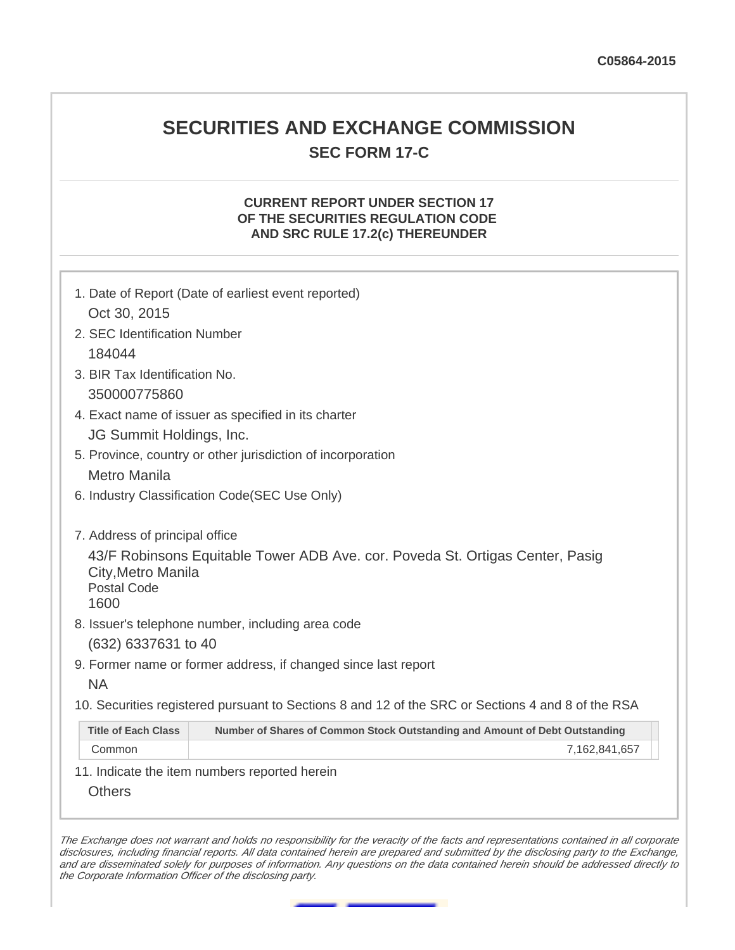# **SECURITIES AND EXCHANGE COMMISSION SEC FORM 17-C**

## **CURRENT REPORT UNDER SECTION 17 OF THE SECURITIES REGULATION CODE AND SRC RULE 17.2(c) THEREUNDER**

|                                                                                    | 1. Date of Report (Date of earliest event reported)                                               |  |  |  |  |
|------------------------------------------------------------------------------------|---------------------------------------------------------------------------------------------------|--|--|--|--|
| Oct 30, 2015                                                                       |                                                                                                   |  |  |  |  |
| 2. SEC Identification Number                                                       |                                                                                                   |  |  |  |  |
| 184044                                                                             |                                                                                                   |  |  |  |  |
| 3. BIR Tax Identification No.                                                      |                                                                                                   |  |  |  |  |
| 350000775860                                                                       |                                                                                                   |  |  |  |  |
|                                                                                    | 4. Exact name of issuer as specified in its charter                                               |  |  |  |  |
| JG Summit Holdings, Inc.                                                           |                                                                                                   |  |  |  |  |
|                                                                                    | 5. Province, country or other jurisdiction of incorporation                                       |  |  |  |  |
| Metro Manila                                                                       |                                                                                                   |  |  |  |  |
| 6. Industry Classification Code(SEC Use Only)                                      |                                                                                                   |  |  |  |  |
| 7. Address of principal office<br>City, Metro Manila<br><b>Postal Code</b><br>1600 | 43/F Robinsons Equitable Tower ADB Ave. cor. Poveda St. Ortigas Center, Pasig                     |  |  |  |  |
|                                                                                    | 8. Issuer's telephone number, including area code                                                 |  |  |  |  |
| (632) 6337631 to 40                                                                |                                                                                                   |  |  |  |  |
| <b>NA</b>                                                                          | 9. Former name or former address, if changed since last report                                    |  |  |  |  |
|                                                                                    | 10. Securities registered pursuant to Sections 8 and 12 of the SRC or Sections 4 and 8 of the RSA |  |  |  |  |
|                                                                                    | Number of Shares of Common Stock Outstanding and Amount of Debt Outstanding                       |  |  |  |  |
| <b>Title of Each Class</b>                                                         |                                                                                                   |  |  |  |  |

The Exchange does not warrant and holds no responsibility for the veracity of the facts and representations contained in all corporate disclosures, including financial reports. All data contained herein are prepared and submitted by the disclosing party to the Exchange, and are disseminated solely for purposes of information. Any questions on the data contained herein should be addressed directly to the Corporate Information Officer of the disclosing party.